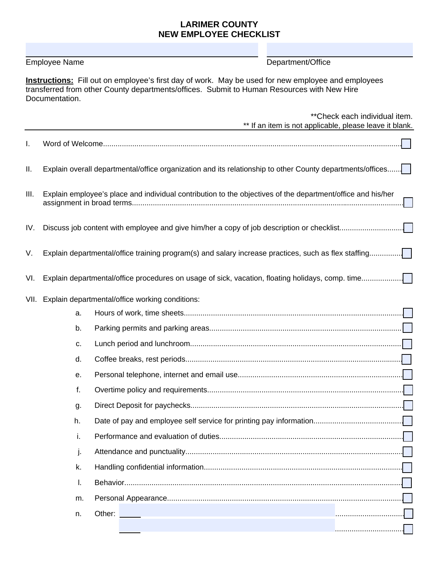## **LARIMER COUNTY NEW EMPLOYEE CHECKLIST**

Employee Name **Department/Office** 

**Instructions:** Fill out on employee's first day of work. May be used for new employee and employees transferred from other County departments/offices. Submit to Human Resources with New Hire Documentation.

|     |                                                      | ** Check each individual item.<br>** If an item is not applicable, please leave it blank.                   |  |  |  |  |  |  |
|-----|------------------------------------------------------|-------------------------------------------------------------------------------------------------------------|--|--|--|--|--|--|
| I.  |                                                      |                                                                                                             |  |  |  |  |  |  |
| П.  |                                                      | Explain overall departmental/office organization and its relationship to other County departments/offices   |  |  |  |  |  |  |
| Ш.  |                                                      | Explain employee's place and individual contribution to the objectives of the department/office and his/her |  |  |  |  |  |  |
| IV. |                                                      |                                                                                                             |  |  |  |  |  |  |
| V.  |                                                      | Explain departmental/office training program(s) and salary increase practices, such as flex staffing        |  |  |  |  |  |  |
| VI. |                                                      |                                                                                                             |  |  |  |  |  |  |
|     | VII. Explain departmental/office working conditions: |                                                                                                             |  |  |  |  |  |  |
|     | a.                                                   |                                                                                                             |  |  |  |  |  |  |
|     | b.                                                   |                                                                                                             |  |  |  |  |  |  |
|     | c.                                                   |                                                                                                             |  |  |  |  |  |  |
|     | d.                                                   |                                                                                                             |  |  |  |  |  |  |
|     | е.                                                   |                                                                                                             |  |  |  |  |  |  |
|     | f.                                                   |                                                                                                             |  |  |  |  |  |  |
|     | g.                                                   |                                                                                                             |  |  |  |  |  |  |
|     | h.                                                   |                                                                                                             |  |  |  |  |  |  |
|     | Τ.                                                   |                                                                                                             |  |  |  |  |  |  |
|     | j.                                                   |                                                                                                             |  |  |  |  |  |  |
|     | k.                                                   |                                                                                                             |  |  |  |  |  |  |
|     | I.                                                   |                                                                                                             |  |  |  |  |  |  |
|     | m.                                                   |                                                                                                             |  |  |  |  |  |  |
|     | n.                                                   | Other:                                                                                                      |  |  |  |  |  |  |
|     |                                                      |                                                                                                             |  |  |  |  |  |  |
|     |                                                      |                                                                                                             |  |  |  |  |  |  |